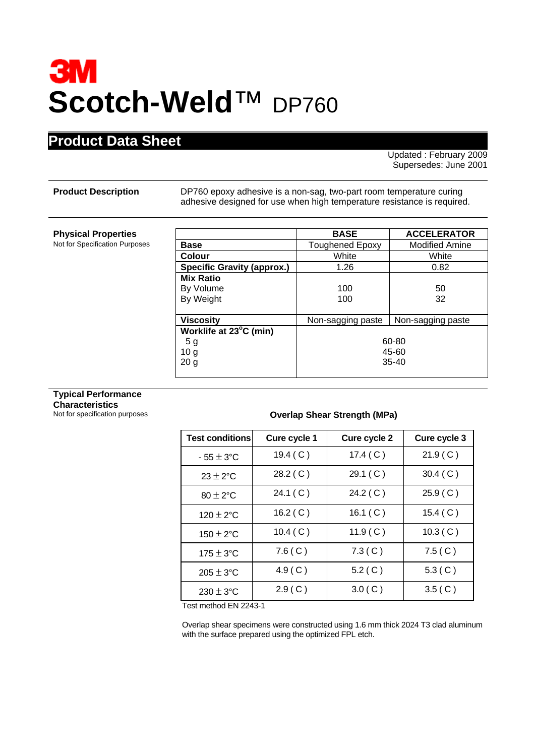# **3M Scotch-Weld**™ DP760

# **Product Data Sheet**

Updated : February 2009 Supersedes: June 2001

**Product Description** DP760 epoxy adhesive is a non-sag, two-part room temperature curing adhesive designed for use when high temperature resistance is required.

#### **Physical Properties**

**Not for Specification Purposes** 

|                                   | <b>BASE</b>            | <b>ACCELERATOR</b>    |
|-----------------------------------|------------------------|-----------------------|
| <b>Base</b>                       | <b>Toughened Epoxy</b> | <b>Modified Amine</b> |
| <b>Colour</b>                     | White                  | White                 |
| <b>Specific Gravity (approx.)</b> | 1.26                   | 0.82                  |
| <b>Mix Ratio</b>                  |                        |                       |
| By Volume                         | 100                    | 50                    |
| By Weight                         | 100                    | 32                    |
|                                   |                        |                       |
| <b>Viscosity</b>                  | Non-sagging paste      | Non-sagging paste     |
| Worklife at 23°C (min)            |                        |                       |
| 5 <sub>g</sub>                    | 60-80                  |                       |
| 10 <sub>g</sub>                   | 45-60                  |                       |
| 20 <sub>g</sub>                   | $35 - 40$              |                       |
|                                   |                        |                       |

# **Typical Performance Characteristics**<br>Not for specification purposes

#### **Overlap Shear Strength (MPa)**

| <b>Test conditions</b> | Cure cycle 1 | Cure cycle 2 | Cure cycle 3 |
|------------------------|--------------|--------------|--------------|
| $-55 \pm 3$ °C         | 19.4 $(C)$   | 17.4 $(C)$   | 21.9(C)      |
| $23 \pm 2$ °C          | 28.2 (C)     | 29.1 (C)     | 30.4 (C)     |
| $80 \pm 2$ °C          | 24.1 (C)     | 24.2 (C)     | 25.9(C)      |
| 120 $\pm$ 2°C          | 16.2 $(C)$   | 16.1 $(C)$   | 15.4 (C)     |
| $150 \pm 2$ °C         | 10.4 (C)     | 11.9 $(C)$   | 10.3 (C)     |
| $175 \pm 3$ °C         | 7.6(C)       | 7.3(C)       | 7.5(C)       |
| $205 \pm 3$ °C         | 4.9(C)       | 5.2(C)       | 5.3(C)       |
| $230 \pm 3$ °C         | 2.9(C)       | 3.0(C)       | 3.5(C)       |

Test method EN 2243-1

Overlap shear specimens were constructed using 1.6 mm thick 2024 T3 clad aluminum with the surface prepared using the optimized FPL etch.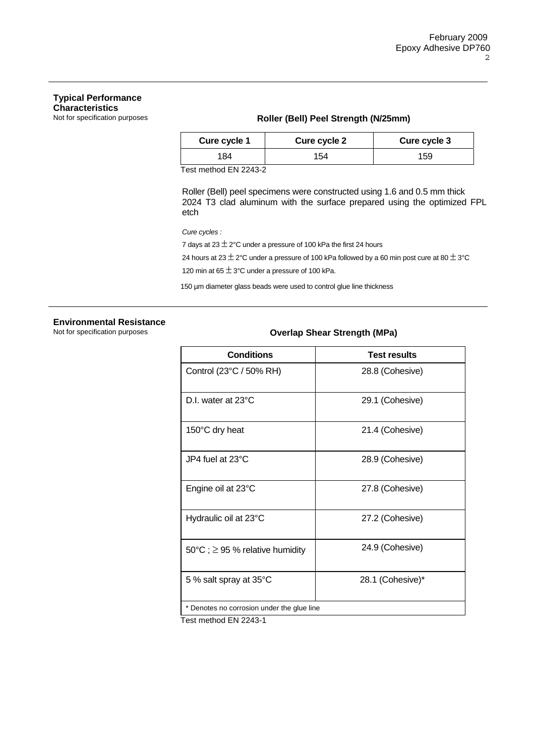# **Typical Performance Characteristics**<br>Not for specification purposes

### **Roller (Bell) Peel Strength (N/25mm)**

| Cure cycle 1 | Cure cycle 2 | Cure cycle 3 |
|--------------|--------------|--------------|
| 184          | 54           | 159          |

Test method EN 2243-2

 Roller (Bell) peel specimens were constructed using 1.6 and 0.5 mm thick 2024 T3 clad aluminum with the surface prepared using the optimized FPL etch

*Cure cycles :* 

7 days at 23  $\pm$  2°C under a pressure of 100 kPa the first 24 hours

24 hours at 23  $\pm$  2°C under a pressure of 100 kPa followed by a 60 min post cure at 80  $\pm$  3°C

120 min at  $65 \pm 3$ °C under a pressure of 100 kPa.

150 µm diameter glass beads were used to control glue line thickness

# **Environmental Resistance**

### **Overlap Shear Strength (MPa)**

| <b>Conditions</b>                          | <b>Test results</b> |
|--------------------------------------------|---------------------|
| Control (23°C / 50% RH)                    | 28.8 (Cohesive)     |
| D.I. water at 23°C                         | 29.1 (Cohesive)     |
| 150°C dry heat                             | 21.4 (Cohesive)     |
| $JPA$ fuel at 23 $°C$                      | 28.9 (Cohesive)     |
| Engine oil at 23°C                         | 27.8 (Cohesive)     |
| Hydraulic oil at 23°C                      | 27.2 (Cohesive)     |
| 50°C; $\geq$ 95 % relative humidity        | 24.9 (Cohesive)     |
| 5 % salt spray at 35°C                     | 28.1 (Cohesive)*    |
| * Denotes no corrosion under the glue line |                     |

Test method EN 2243-1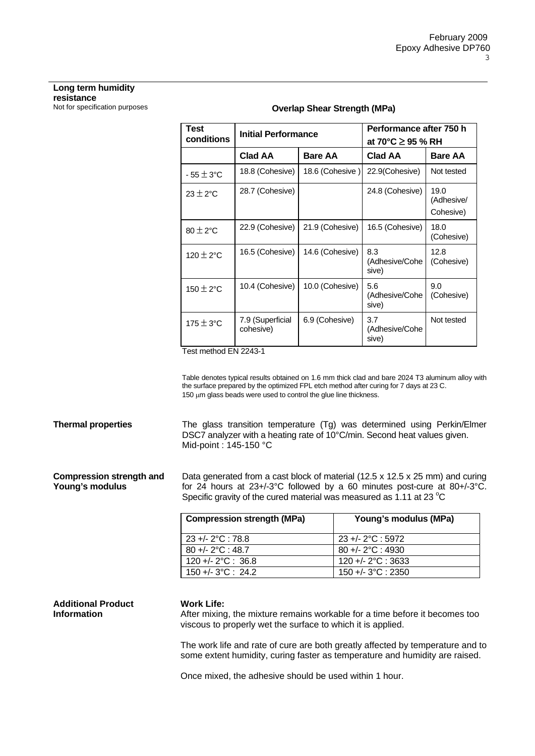# **Long term humidity resistance**

| <b>Test</b><br>conditions | <b>Initial Performance</b>    |                 | Performance after 750 h<br>at 70°C $\geq$ 95 % RH |                                 |
|---------------------------|-------------------------------|-----------------|---------------------------------------------------|---------------------------------|
|                           | <b>Clad AA</b>                | <b>Bare AA</b>  | <b>Clad AA</b>                                    | <b>Bare AA</b>                  |
| - 55 $\pm$ 3°C            | 18.8 (Cohesive)               | 18.6 (Cohesive) | 22.9(Cohesive)                                    | Not tested                      |
| $23 \pm 2^{\circ}$ C      | 28.7 (Cohesive)               |                 | 24.8 (Cohesive)                                   | 19.0<br>(Adhesive/<br>Cohesive) |
| $80 \pm 2$ °C             | 22.9 (Cohesive)               | 21.9 (Cohesive) | 16.5 (Cohesive)                                   | 18.0<br>(Cohesive)              |
| 120 $\pm$ 2°C             | 16.5 (Cohesive)               | 14.6 (Cohesive) | 8.3<br>(Adhesive/Cohe<br>sive)                    | 12.8<br>(Cohesive)              |
| 150 $\pm$ 2°C             | 10.4 (Cohesive)               | 10.0 (Cohesive) | 5.6<br>(Adhesive/Cohe<br>sive)                    | 9.0<br>(Cohesive)               |
| 175 $\pm$ 3°C             | 7.9 (Superficial<br>cohesive) | 6.9 (Cohesive)  | 3.7<br>(Adhesive/Cohe<br>sive)                    | Not tested                      |

#### **Overlap Shear Strength (MPa)**

Test method EN 2243-1

Table denotes typical results obtained on 1.6 mm thick clad and bare 2024 T3 aluminum alloy with the surface prepared by the optimized FPL etch method after curing for 7 days at 23 C. 150 μm glass beads were used to control the glue line thickness.

**Thermal properties** The glass transition temperature (Tg) was determined using Perkin/Elmer DSC7 analyzer with a heating rate of 10°C/min. Second heat values given. Mid-point : 145-150 °C

**Compression strength and Young's modulus**  Data generated from a cast block of material (12.5 x 12.5 x 25 mm) and curing for 24 hours at 23+/-3°C followed by a 60 minutes post-cure at 80+/-3°C. Specific gravity of the cured material was measured as  $1.11$  at 23  $^{\circ}$ C

| <b>Compression strength (MPa)</b> | Young's modulus (MPa) |
|-----------------------------------|-----------------------|
| $23 + 2^{\circ}C$ : 78.8          | $23 + - 2$ °C : 5972  |
| $80 + -2$ °C: 48.7                | $80 + -2$ °C : 4930   |
| $120 + -2$ °C : 36.8              | $120 + -2$ °C : 3633  |
| $150 + -3$ °C : 24.2              | $150 + -3$ °C : 2350  |

**Additional Product Information Work Life:**  After mixing, the mixture remains workable for a time before it becomes too viscous to properly wet the surface to which it is applied. The work life and rate of cure are both greatly affected by temperature and to some extent humidity, curing faster as temperature and humidity are raised.

Once mixed, the adhesive should be used within 1 hour.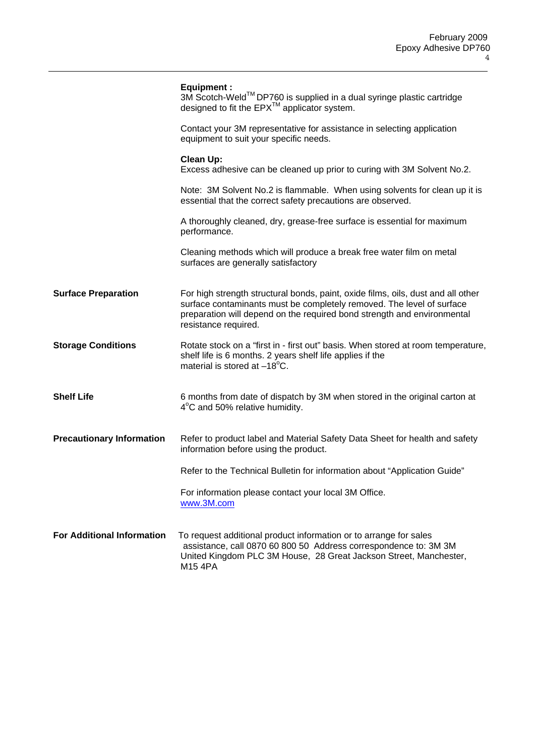|                                   | <b>Equipment:</b><br>3M Scotch-Weld™DP760 is supplied in a dual syringe plastic cartridge<br>designed to fit the EPX <sup>™</sup> applicator system.                                                                                                         |
|-----------------------------------|--------------------------------------------------------------------------------------------------------------------------------------------------------------------------------------------------------------------------------------------------------------|
|                                   | Contact your 3M representative for assistance in selecting application<br>equipment to suit your specific needs.                                                                                                                                             |
|                                   | <b>Clean Up:</b><br>Excess adhesive can be cleaned up prior to curing with 3M Solvent No.2.                                                                                                                                                                  |
|                                   | Note: 3M Solvent No.2 is flammable. When using solvents for clean up it is<br>essential that the correct safety precautions are observed.                                                                                                                    |
|                                   | A thoroughly cleaned, dry, grease-free surface is essential for maximum<br>performance.                                                                                                                                                                      |
|                                   | Cleaning methods which will produce a break free water film on metal<br>surfaces are generally satisfactory                                                                                                                                                  |
| <b>Surface Preparation</b>        | For high strength structural bonds, paint, oxide films, oils, dust and all other<br>surface contaminants must be completely removed. The level of surface<br>preparation will depend on the required bond strength and environmental<br>resistance required. |
| <b>Storage Conditions</b>         | Rotate stock on a "first in - first out" basis. When stored at room temperature,<br>shelf life is 6 months. 2 years shelf life applies if the<br>material is stored at $-18^{\circ}$ C.                                                                      |
| <b>Shelf Life</b>                 | 6 months from date of dispatch by 3M when stored in the original carton at<br>4°C and 50% relative humidity.                                                                                                                                                 |
| <b>Precautionary Information</b>  | Refer to product label and Material Safety Data Sheet for health and safety<br>information before using the product.                                                                                                                                         |
|                                   | Refer to the Technical Bulletin for information about "Application Guide"                                                                                                                                                                                    |
|                                   | For information please contact your local 3M Office.<br>www.3M.com                                                                                                                                                                                           |
| <b>For Additional Information</b> | To request additional product information or to arrange for sales<br>assistance, call 0870 60 800 50 Address correspondence to: 3M 3M<br>United Kingdom PLC 3M House, 28 Great Jackson Street, Manchester,<br>M15 4PA                                        |